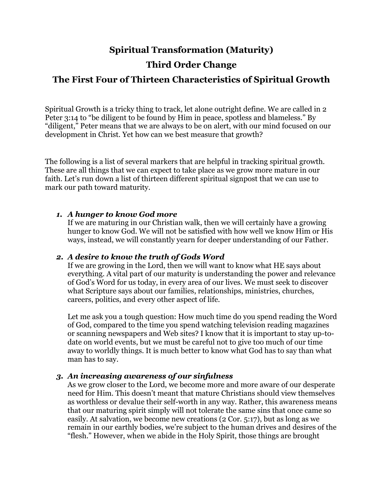### **Spiritual Transformation (Maturity)**

## **Third Order Change**

# **The First Four of Thirteen Characteristics of Spiritual Growth**

Spiritual Growth is a tricky thing to track, let alone outright define. We are called in 2 Peter 3:14 to "be diligent to be found by Him in peace, spotless and blameless." By "diligent," Peter means that we are always to be on alert, with our mind focused on our development in Christ. Yet how can we best measure that growth?

The following is a list of several markers that are helpful in tracking spiritual growth. These are all things that we can expect to take place as we grow more mature in our faith. Let's run down a list of thirteen different spiritual signpost that we can use to mark our path toward maturity.

#### *1. A hunger to know God more*

If we are maturing in our Christian walk, then we will certainly have a growing hunger to know God. We will not be satisfied with how well we know Him or His ways, instead, we will constantly yearn for deeper understanding of our Father.

#### *2. A desire to know the truth of Gods Word*

If we are growing in the Lord, then we will want to know what HE says about everything. A vital part of our maturity is understanding the power and relevance of God's Word for us today, in every area of our lives. We must seek to discover what Scripture says about our families, relationships, ministries, churches, careers, politics, and every other aspect of life.

Let me ask you a tough question: How much time do you spend reading the Word of God, compared to the time you spend watching television reading magazines or scanning newspapers and Web sites? I know that it is important to stay up-todate on world events, but we must be careful not to give too much of our time away to worldly things. It is much better to know what God has to say than what man has to say.

#### *3. An increasing awareness of our sinfulness*

As we grow closer to the Lord, we become more and more aware of our desperate need for Him. This doesn't meant that mature Christians should view themselves as worthless or devalue their self-worth in any way. Rather, this awareness means that our maturing spirit simply will not tolerate the same sins that once came so easily. At salvation, we become new creations (2 Cor. 5:17), but as long as we remain in our earthly bodies, we're subject to the human drives and desires of the "flesh." However, when we abide in the Holy Spirit, those things are brought